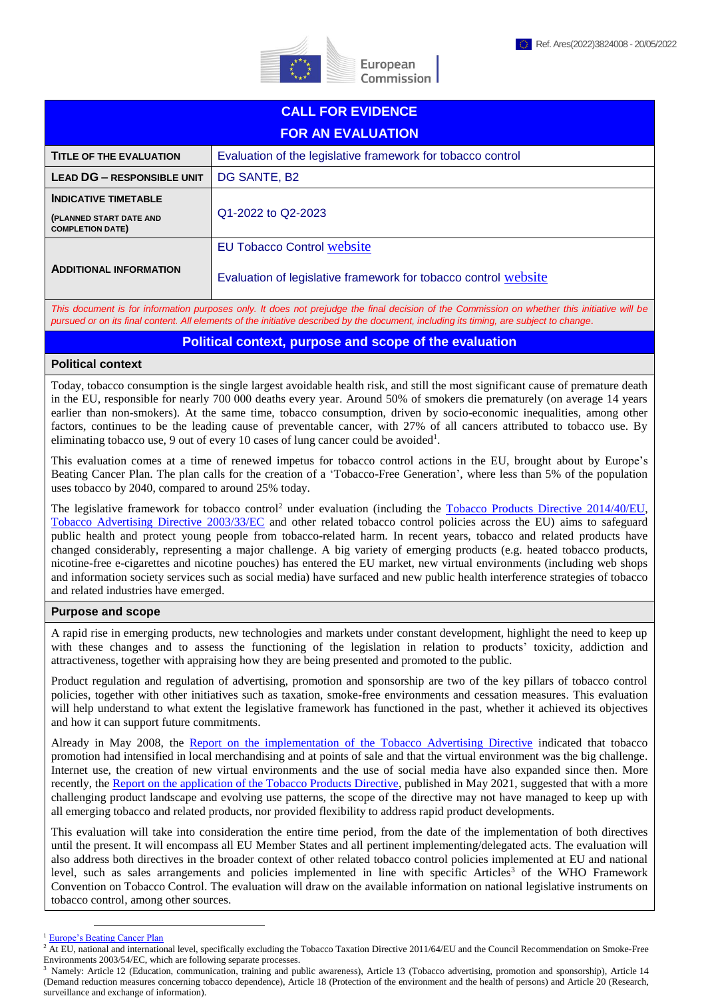

| <b>CALL FOR EVIDENCE</b>                           |                                                                 |
|----------------------------------------------------|-----------------------------------------------------------------|
| <b>FOR AN EVALUATION</b>                           |                                                                 |
| <b>TITLE OF THE EVALUATION</b>                     | Evaluation of the legislative framework for tobacco control     |
| <b>LEAD DG - RESPONSIBLE UNIT</b>                  | DG SANTE, B2                                                    |
| <b>INDICATIVE TIMETABLE</b>                        |                                                                 |
| (PLANNED START DATE AND<br><b>COMPLETION DATE)</b> | Q1-2022 to Q2-2023                                              |
|                                                    | <b>EU Tobacco Control website</b>                               |
| <b>ADDITIONAL INFORMATION</b>                      | Evaluation of legislative framework for tobacco control website |

*This document is for information purposes only. It does not prejudge the final decision of the Commission on whether this initiative will be pursued or on its final content. All elements of the initiative described by the document, including its timing, are subject to change.*

## **Political context, purpose and scope of the evaluation**

## **Political context**

Today, tobacco consumption is the single largest avoidable health risk, and still the most significant cause of premature death in the EU, responsible for nearly 700 000 deaths every year. Around 50% of smokers die prematurely (on average 14 years earlier than non-smokers). At the same time, tobacco consumption, driven by socio-economic inequalities, among other factors, continues to be the leading cause of preventable cancer, with 27% of all cancers attributed to tobacco use. By eliminating tobacco use, 9 out of every 10 cases of lung cancer could be avoided<sup>1</sup>.

This evaluation comes at a time of renewed impetus for tobacco control actions in the EU, brought about by Europe's Beating Cancer Plan. The plan calls for the creation of a 'Tobacco-Free Generation', where less than 5% of the population uses tobacco by 2040, compared to around 25% today.

The legislative framework for tobacco control<sup>2</sup> under evaluation (including the Tobacco Products Directive 2014/40/EU, Tobacco Advertising Directive 2003/33/EC and other related tobacco control policies across the EU) aims to safeguard public health and protect young people from tobacco-related harm. In recent years, tobacco and related products have changed considerably, representing a major challenge. A big variety of emerging products (e.g. heated tobacco products, nicotine-free e-cigarettes and nicotine pouches) has entered the EU market, new virtual environments (including web shops and information society services such as social media) have surfaced and new public health interference strategies of tobacco and related industries have emerged.

## **Purpose and scope**

A rapid rise in emerging products, new technologies and markets under constant development, highlight the need to keep up with these changes and to assess the functioning of the legislation in relation to products' toxicity, addiction and attractiveness, together with appraising how they are being presented and promoted to the public.

Product regulation and regulation of advertising, promotion and sponsorship are two of the key pillars of tobacco control policies, together with other initiatives such as taxation, smoke-free environments and cessation measures. This evaluation will help understand to what extent the legislative framework has functioned in the past, whether it achieved its objectives and how it can support future commitments.

Already in May 2008, the Report on the implementation of the Tobacco Advertising Directive indicated that tobacco promotion had intensified in local merchandising and at points of sale and that the virtual environment was the big challenge. Internet use, the creation of new virtual environments and the use of social media have also expanded since then. More recently, the Report on the application of the Tobacco Products Directive, published in May 2021, suggested that with a more challenging product landscape and evolving use patterns, the scope of the directive may not have managed to keep up with all emerging tobacco and related products, nor provided flexibility to address rapid product developments.

This evaluation will take into consideration the entire time period, from the date of the implementation of both directives until the present. It will encompass all EU Member States and all pertinent implementing/delegated acts. The evaluation will also address both directives in the broader context of other related tobacco control policies implemented at EU and national level, such as sales arrangements and policies implemented in line with specific Articles<sup>3</sup> of the WHO Framework Convention on Tobacco Control. The evaluation will draw on the available information on national legislative instruments on tobacco control, among other sources.

 $\overline{a}$ 

<sup>&</sup>lt;sup>1</sup> Europe's Beating Cancer Plan

<sup>&</sup>lt;sup>2</sup> At EU, national and international level, specifically excluding the Tobacco Taxation Directive 2011/64/EU and the Council Recommendation on Smoke-Free Environments 2003/54/EC, which are following separate processes.

<sup>3</sup> Namely: Article 12 (Education, communication, training and public awareness), Article 13 (Tobacco advertising, promotion and sponsorship), Article 14 (Demand reduction measures concerning tobacco dependence), Article 18 (Protection of the environment and the health of persons) and Article 20 (Research, surveillance and exchange of information).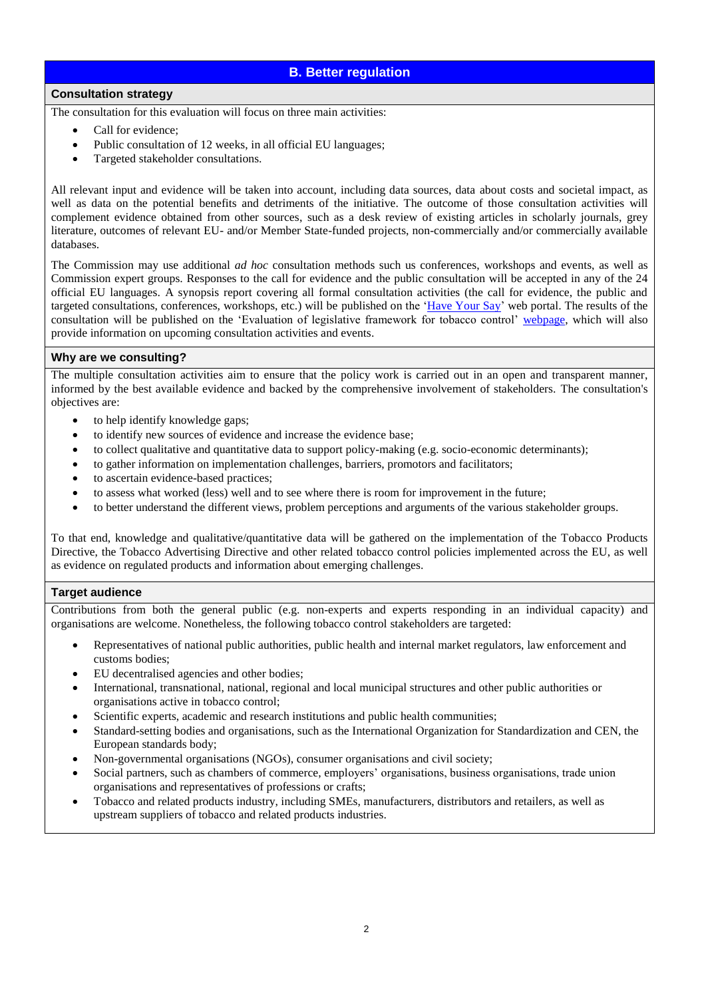# **B. Better regulation**

## **Consultation strategy**

The consultation for this evaluation will focus on three main activities:

- Call for evidence;
- Public consultation of 12 weeks, in all official EU languages;
- Targeted stakeholder consultations.

All relevant input and evidence will be taken into account, including data sources, data about costs and societal impact, as well as data on the potential benefits and detriments of the initiative. The outcome of those consultation activities will complement evidence obtained from other sources, such as a desk review of existing articles in scholarly journals, grey literature, outcomes of relevant EU- and/or Member State-funded projects, non-commercially and/or commercially available databases.

The Commission may use additional *ad hoc* consultation methods such us conferences, workshops and events, as well as Commission expert groups. Responses to the call for evidence and the public consultation will be accepted in any of the 24 official EU languages. A synopsis report covering all formal consultation activities (the call for evidence, the public and targeted consultations, conferences, workshops, etc.) will be published on the 'Have Your Say' web portal. The results of the consultation will be published on the 'Evaluation of legislative framework for tobacco control' webpage, which will also provide information on upcoming consultation activities and events.

## **Why are we consulting?**

The multiple consultation activities aim to ensure that the policy work is carried out in an open and transparent manner, informed by the best available evidence and backed by the comprehensive involvement of stakeholders. The consultation's objectives are:

- to help identify knowledge gaps;
- to identify new sources of evidence and increase the evidence base;
- to collect qualitative and quantitative data to support policy-making (e.g. socio-economic determinants);
- to gather information on implementation challenges, barriers, promotors and facilitators;
- to ascertain evidence-based practices;
- to assess what worked (less) well and to see where there is room for improvement in the future;
- to better understand the different views, problem perceptions and arguments of the various stakeholder groups.

To that end, knowledge and qualitative/quantitative data will be gathered on the implementation of the Tobacco Products Directive, the Tobacco Advertising Directive and other related tobacco control policies implemented across the EU, as well as evidence on regulated products and information about emerging challenges.

## **Target audience**

Contributions from both the general public (e.g. non-experts and experts responding in an individual capacity) and organisations are welcome. Nonetheless, the following tobacco control stakeholders are targeted:

- Representatives of national public authorities, public health and internal market regulators, law enforcement and customs bodies;
- EU decentralised agencies and other bodies;
- International, transnational, national, regional and local municipal structures and other public authorities or organisations active in tobacco control;
- Scientific experts, academic and research institutions and public health communities;
- Standard-setting bodies and organisations, such as the International Organization for Standardization and CEN, the European standards body;
- Non-governmental organisations (NGOs), consumer organisations and civil society;
- Social partners, such as chambers of commerce, employers' organisations, business organisations, trade union organisations and representatives of professions or crafts;
- Tobacco and related products industry, including SMEs, manufacturers, distributors and retailers, as well as upstream suppliers of tobacco and related products industries.